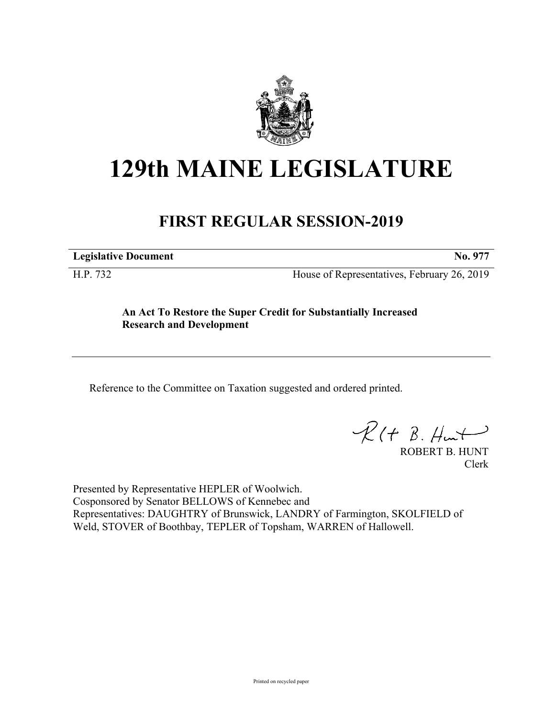

## **129th MAINE LEGISLATURE**

## **FIRST REGULAR SESSION-2019**

**Legislative Document No. 977**

H.P. 732 House of Representatives, February 26, 2019

**An Act To Restore the Super Credit for Substantially Increased Research and Development**

Reference to the Committee on Taxation suggested and ordered printed.

 $R(t B. Hmt)$ 

ROBERT B. HUNT Clerk

Presented by Representative HEPLER of Woolwich. Cosponsored by Senator BELLOWS of Kennebec and Representatives: DAUGHTRY of Brunswick, LANDRY of Farmington, SKOLFIELD of Weld, STOVER of Boothbay, TEPLER of Topsham, WARREN of Hallowell.